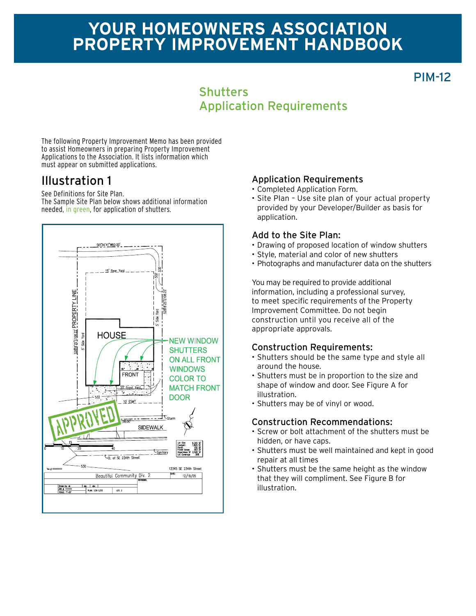# **Your homeowners association Property improvement Handbook**

## PIM-12

### **Shutters** Application Requirements

The following Property Improvement Memo has been provided to assist Homeowners in preparing Property Improvement Applications to the Association. It lists information which must appear on submitted applications.

## Illustration 1

See Definitions for Site Plan. The Sample Site Plan below shows additional information needed, in green, for application of shutters.



#### Application Requirements

- • Completed Application Form.
- Site Plan Use site plan of your actual property provided by your Developer/Builder as basis for application.

#### Add to the Site Plan:

- Drawing of proposed location of window shutters
- • Style, material and color of new shutters
- Photographs and manufacturer data on the shutters

You may be required to provide additional information, including a professional survey, to meet specific requirements of the Property Improvement Committee. Do not begin construction until you receive all of the appropriate approvals.

#### Construction Requirements:

- • Shutters should be the same type and style all around the house.
- Shutters must be in proportion to the size and shape of window and door. See Figure A for illustration.
- Shutters may be of vinyl or wood.

#### Construction Recommendations:

- • Screw or bolt attachment of the shutters must be hidden, or have caps.
- • Shutters must be well maintained and kept in good repair at all times
- • Shutters must be the same height as the window that they will compliment. See Figure B for illustration.